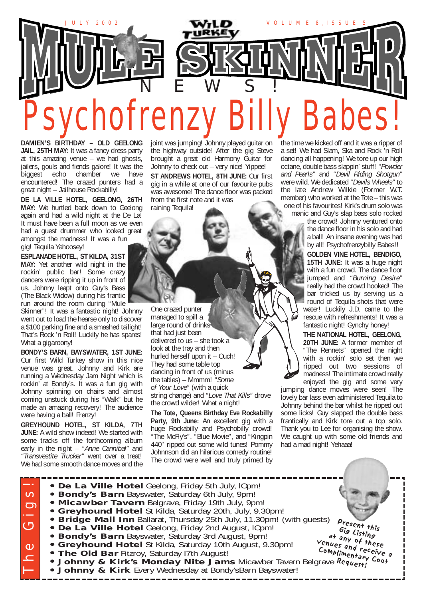

**DAMIEN'S BIRTHDAY – OLD GEELONG** JAIL, 25TH MAY: It was a fancy dress party at this amazing venue – we had ghosts, jailers, gouls and fiends galore! It was the biggest echo chamber we have encountered! The crazed punters had a great night – Jailhouse Rockabilly!

**DE LA VILLE HOTEL, GEELONG, 26TH MAY:** We hurtled back down to Geelong again and had a wild night at the De La! It must have been a full moon as we even had a guest drummer who looked great amongst the madness! It was a fun gig! Tequila Yahoosey!

**ESPLANADE HOTEL, ST KILDA, 31ST MAY:** Yet another wild night in the rockin' public bar! Some crazy dancers were ripping it up in front of us. Johnny leapt onto Guy's Bass (The Black Widow) during his frantic run around the room during "Mule

Skinner"! It was a fantastic night! Johnny went out to load the hearse only to discover a \$100 parking fine and a smashed tailight! That's Rock 'n Roll! Luckily he has spares! What a gigaroony!

**BONDY'S BARN, BAYSWATER, 1ST JUNE:** Our first Wild Turkey show in this nice venue was great. Johnny and Kirk are running a Wednesday Jam Night which is rockin' at Bondy's. It was a fun gig with Johnny spinning on chairs and almost coming unstuck during his "Walk" but he made an amazing recovery! The audience were having a ball! Frenzy!

**GREYHOUND HOTEL, ST KILDA, 7TH JUNE:** A wild show indeed! We started with some tracks off the forthcoming album early in the night – *"Anne Cannibal"* and *"Transvestite Trucker"* went over a treat! We had some smooth dance moves and the

joint was jumping! Johnny played guitar on the highway outside! After the gig Steve brought a great old Harmony Guitar for Johnny to check out – very nice! Yippee!

**ST ANDREWS HOTEL, 8TH JUNE:** Our first gig in a while at one of our favourite pubs was awesome! The dance floor was packed from the first note and it was raining Tequila!

One crazed punter managed to spill a large round of drinks that had just been delivered to us – she took a look at the tray and then hurled herself upon it – Ouch! They had some table top dancing in front of us (minus the tables) – Mmmm! *"Some of Your Love"* (with a quick string change) and *"Love That Kills"* drove the crowd wilder! What a night!

**The Tote, Queens Birthday Eve Rockabilly Party, 9th June:** An excellent gig with a huge Rockabilly and Psychobilly crowd! "The McFly's", "Blue Movie", and "Kingpin 440" ripped out some wild tunes! Pommy Johnnson did an hilarious comedy routine! The crowd were well and truly primed by the time we kicked off and it was a ripper of a set! We had Slam, Ska and Rock 'n Roll dancing all happening! We tore up our high octane, double bass slappin' stuff! *"Powder and Pearls"* and *"Devil Riding Shotgun"* were wild. We dedicated *"Devils Wheels"* to the late Andrew Wilkie (Former W.T. member) who worked at the Tote – this was one of his favourites! Kirk's drum solo was

manic and Guy's slap bass solo rocked the crowd! Johnny ventured onto the dance floor in his solo and had a ball! An insane evening was had by all! Psychofrenzybilly Babes!!

> **GOLDEN VINE HOTEL, BENDIGO, 15TH JUNE:** It was a huge night with a fun crowd. The dance floor jumped and *"Burning Desire"* really had the crowd hooked! The bar tricked us by serving us a round of Tequila shots that were water! Luckily J.D. came to the rescue with refreshments! It was a fantastic night! Gynchy honey!

**THE NATIONAL HOTEL, GEELONG, 20TH JUNE:** A former member of "The Rennets" opened the night with a rockin' solo set then we ripped out two sessions of madness! The intimate crowd really enjoyed the gig and some very

jumping dance moves were seen! The lovely bar lass even administered Tequila to Johnny behind the bar whilst he ripped out some licks! Guy slapped the double bass frantically and Kirk tore out a top solo. Thank you to Lee for organising the show. We caught up with some old friends and had a mad night! Yehaaa!

| • De La Ville Hotel Geelong, Friday 5th July, IOpm!                                        |
|--------------------------------------------------------------------------------------------|
| • Bondy's Barn Bayswater, Saturday 6th July, 9pm!                                          |
| . Micawber Tavern Belgrave, Friday 19th July, 9pm!                                         |
| • Greyhound Hotel St Kilda, Saturday 20th, July, 9.30pm!                                   |
| • Bridge Mall Inn Ballarat, Thursday 25th July, 11.30pm! (with guests)                     |
| Present this<br>• De La Ville Hotel Geelong, Friday 2nd August, IOpm!<br>Gig Listing       |
| • Bondy's Barn Bayswater, Saturday 3rd August, 9pm!<br>at any of these                     |
| • Greyhound Hotel St Kilda, Saturday 10th August, 9.30pm!                                  |
| venues and receive a<br>Complimentary Coot<br>. The Old Bar Fitzroy, Saturday 17th August! |
| • Johnny & Kirk's Monday Nite Jams Micawber Tavern Belgrave Request                        |
| • Johnny & Kirk Every Wednesday at Bondy's Barn Bayswater!                                 |
|                                                                                            |